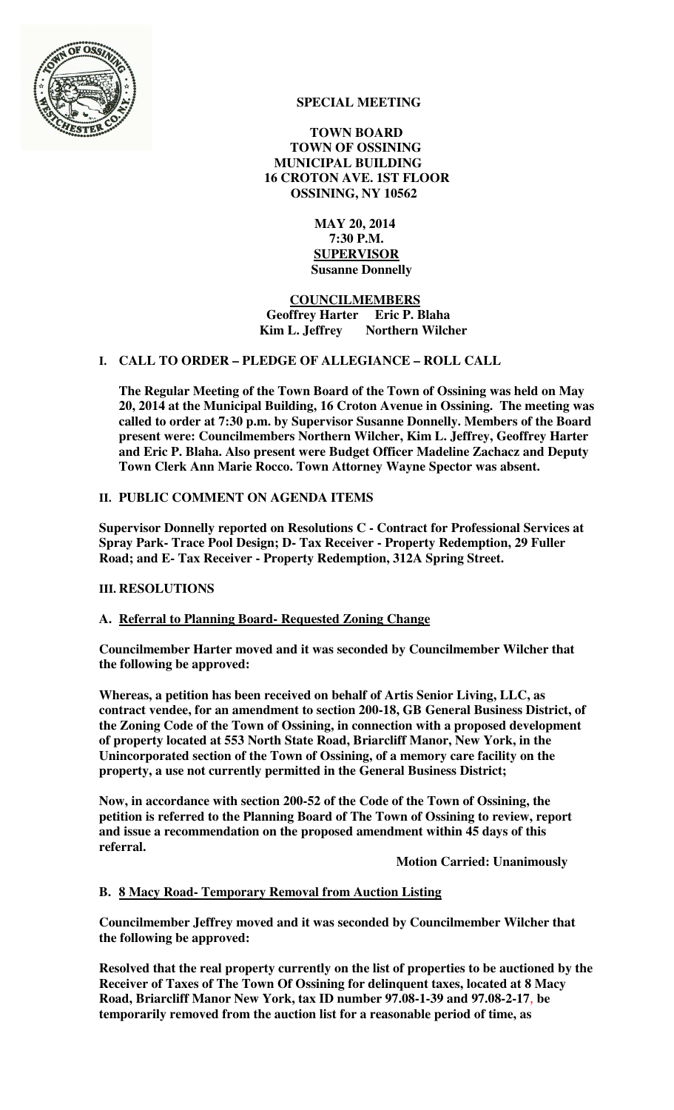

# **SPECIAL MEETING**

 **TOWN BOARD TOWN OF OSSINING MUNICIPAL BUILDING 16 CROTON AVE. 1ST FLOOR OSSINING, NY 10562** 

> **MAY 20, 2014 7:30 P.M. SUPERVISOR Susanne Donnelly**

 **COUNCILMEMBERS Geoffrey Harter Eric P. Blaha Kim L. Jeffrey** Northern Wilcher

### **I. CALL TO ORDER – PLEDGE OF ALLEGIANCE – ROLL CALL**

**The Regular Meeting of the Town Board of the Town of Ossining was held on May 20, 2014 at the Municipal Building, 16 Croton Avenue in Ossining. The meeting was called to order at 7:30 p.m. by Supervisor Susanne Donnelly. Members of the Board present were: Councilmembers Northern Wilcher, Kim L. Jeffrey, Geoffrey Harter and Eric P. Blaha. Also present were Budget Officer Madeline Zachacz and Deputy Town Clerk Ann Marie Rocco. Town Attorney Wayne Spector was absent.** 

## **II. PUBLIC COMMENT ON AGENDA ITEMS**

**Supervisor Donnelly reported on Resolutions C - Contract for Professional Services at Spray Park- Trace Pool Design; D- Tax Receiver - Property Redemption, 29 Fuller Road; and E- Tax Receiver - Property Redemption, 312A Spring Street.** 

### **III. RESOLUTIONS**

### **A. Referral to Planning Board- Requested Zoning Change**

**Councilmember Harter moved and it was seconded by Councilmember Wilcher that the following be approved:** 

**Whereas, a petition has been received on behalf of Artis Senior Living, LLC, as contract vendee, for an amendment to section 200-18, GB General Business District, of the Zoning Code of the Town of Ossining, in connection with a proposed development of property located at 553 North State Road, Briarcliff Manor, New York, in the Unincorporated section of the Town of Ossining, of a memory care facility on the property, a use not currently permitted in the General Business District;** 

**Now, in accordance with section 200-52 of the Code of the Town of Ossining, the petition is referred to the Planning Board of The Town of Ossining to review, report and issue a recommendation on the proposed amendment within 45 days of this referral.** 

 **Motion Carried: Unanimously** 

# **B. 8 Macy Road- Temporary Removal from Auction Listing**

**Councilmember Jeffrey moved and it was seconded by Councilmember Wilcher that the following be approved:** 

**Resolved that the real property currently on the list of properties to be auctioned by the Receiver of Taxes of The Town Of Ossining for delinquent taxes, located at 8 Macy Road, Briarcliff Manor New York, tax ID number 97.08-1-39 and 97.08-2-17**, **be temporarily removed from the auction list for a reasonable period of time, as**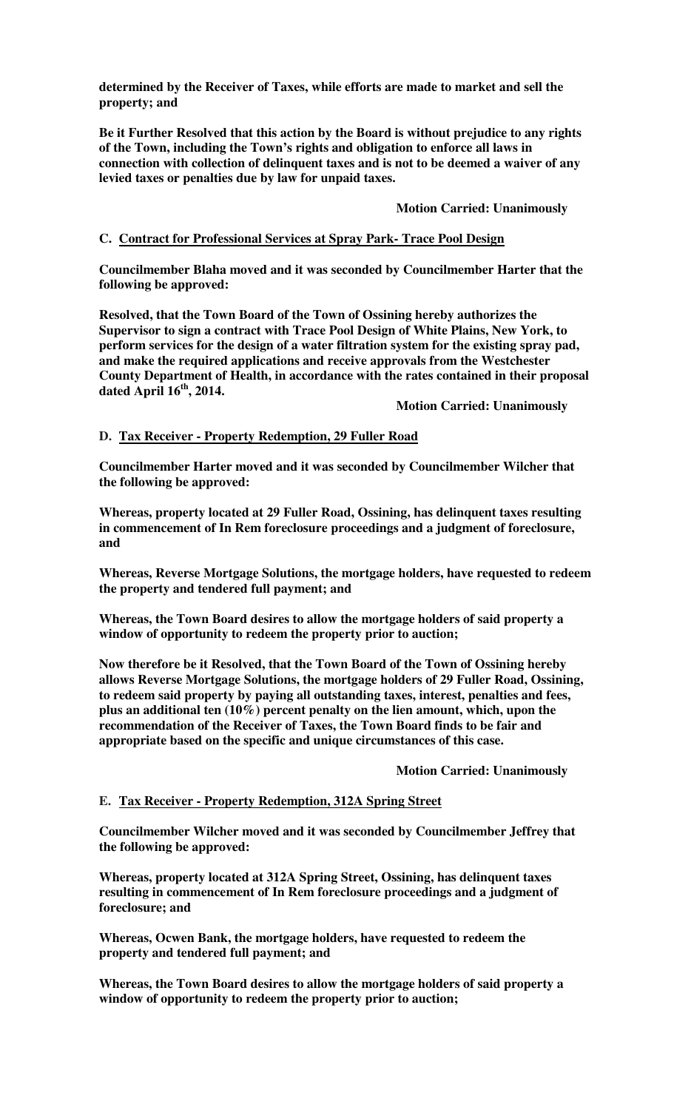**determined by the Receiver of Taxes, while efforts are made to market and sell the property; and** 

**Be it Further Resolved that this action by the Board is without prejudice to any rights of the Town, including the Town's rights and obligation to enforce all laws in connection with collection of delinquent taxes and is not to be deemed a waiver of any levied taxes or penalties due by law for unpaid taxes.** 

 **Motion Carried: Unanimously** 

### **C. Contract for Professional Services at Spray Park- Trace Pool Design**

**Councilmember Blaha moved and it was seconded by Councilmember Harter that the following be approved:** 

**Resolved, that the Town Board of the Town of Ossining hereby authorizes the Supervisor to sign a contract with Trace Pool Design of White Plains, New York, to perform services for the design of a water filtration system for the existing spray pad, and make the required applications and receive approvals from the Westchester County Department of Health, in accordance with the rates contained in their proposal dated April 16th, 2014.** 

 **Motion Carried: Unanimously** 

**D. Tax Receiver - Property Redemption, 29 Fuller Road**

**Councilmember Harter moved and it was seconded by Councilmember Wilcher that the following be approved:** 

**Whereas, property located at 29 Fuller Road, Ossining, has delinquent taxes resulting in commencement of In Rem foreclosure proceedings and a judgment of foreclosure, and**

**Whereas, Reverse Mortgage Solutions, the mortgage holders, have requested to redeem the property and tendered full payment; and** 

**Whereas, the Town Board desires to allow the mortgage holders of said property a window of opportunity to redeem the property prior to auction;**

**Now therefore be it Resolved, that the Town Board of the Town of Ossining hereby allows Reverse Mortgage Solutions, the mortgage holders of 29 Fuller Road, Ossining, to redeem said property by paying all outstanding taxes, interest, penalties and fees, plus an additional ten (10%) percent penalty on the lien amount, which, upon the recommendation of the Receiver of Taxes, the Town Board finds to be fair and appropriate based on the specific and unique circumstances of this case.** 

 **Motion Carried: Unanimously**

### **E. Tax Receiver - Property Redemption, 312A Spring Street**

**Councilmember Wilcher moved and it was seconded by Councilmember Jeffrey that the following be approved:** 

**Whereas, property located at 312A Spring Street, Ossining, has delinquent taxes resulting in commencement of In Rem foreclosure proceedings and a judgment of foreclosure; and**

**Whereas, Ocwen Bank, the mortgage holders, have requested to redeem the property and tendered full payment; and** 

**Whereas, the Town Board desires to allow the mortgage holders of said property a window of opportunity to redeem the property prior to auction;**